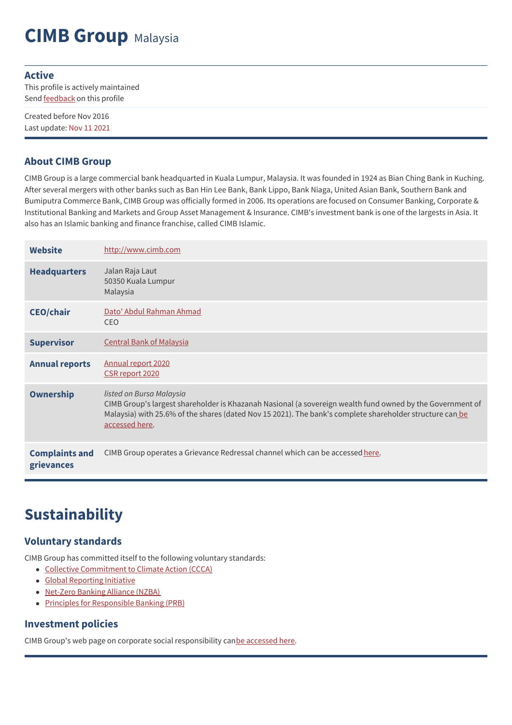# **CIMB Group** Malaysia

#### **Active**

This profile is actively maintained Send **[feedback](https://www.banktrack.org/feedback/bankprofile/cimb)** on this profile

Created before Nov 2016 Last update: Nov 11 2021

### **About CIMB Group**

CIMB Group is a large commercial bank headquarted in Kuala Lumpur, Malaysia. It was founded in 1924 as Bian Ching Bank in Kuching. After several mergers with other banks such as Ban Hin Lee Bank, Bank Lippo, Bank Niaga, United Asian Bank, Southern Bank and Bumiputra Commerce Bank, CIMB Group was officially formed in 2006. Its operations are focused on Consumer Banking, Corporate & Institutional Banking and Markets and Group Asset Management & Insurance. CIMB's investment bank is one of the largests in Asia. It also has an Islamic banking and finance franchise, called CIMB Islamic.

| <b>Website</b>                      | http://www.cimb.com                                                                                                                                                                                                                                                 |
|-------------------------------------|---------------------------------------------------------------------------------------------------------------------------------------------------------------------------------------------------------------------------------------------------------------------|
| <b>Headquarters</b>                 | Jalan Raja Laut<br>50350 Kuala Lumpur<br>Malaysia                                                                                                                                                                                                                   |
| <b>CEO/chair</b>                    | Dato' Abdul Rahman Ahmad<br><b>CEO</b>                                                                                                                                                                                                                              |
| <b>Supervisor</b>                   | <b>Central Bank of Malaysia</b>                                                                                                                                                                                                                                     |
| <b>Annual reports</b>               | Annual report 2020<br>CSR report 2020                                                                                                                                                                                                                               |
| <b>Ownership</b>                    | listed on Bursa Malaysia<br>CIMB Group's largest shareholder is Khazanah Nasional (a sovereign wealth fund owned by the Government of<br>Malaysia) with 25.6% of the shares (dated Nov 15 2021). The bank's complete shareholder structure can be<br>accessed here. |
| <b>Complaints and</b><br>grievances | CIMB Group operates a Grievance Redressal channel which can be accessed here.                                                                                                                                                                                       |

# **Sustainability**

### **Voluntary standards**

CIMB Group has committed itself to the following voluntary standards:

- Collective [Commitment](https://www.unepfi.org/banking/bankingprinciples/collective-commitment/#:~:text=The%20Collective%20Commitment%20to%20Climate%20Action%20(CCCA)%20is%20the%20most,net%20zero%20economy%20by%202050.&text=Drive%20and%20facilitate%20the%20necessary,client%20relationships%252C%20products%20and%20services) to Climate Action (CCCA)
- Global [Reporting](http://www.globalreporting.org) Initiative
- [Net-Zero](https://www.unepfi.org/net-zero-banking/) Banking Alliance (NZBA)
- Principles for [Responsible](http://www.unepfi.org/banking/bankingprinciples/) Banking (PRB)

### **Investment policies**

CIMB Group's web page on corporate social responsibility canbe [accessed](https://www.cimb.com/en/sustainability/sustainability-cimb.html) here.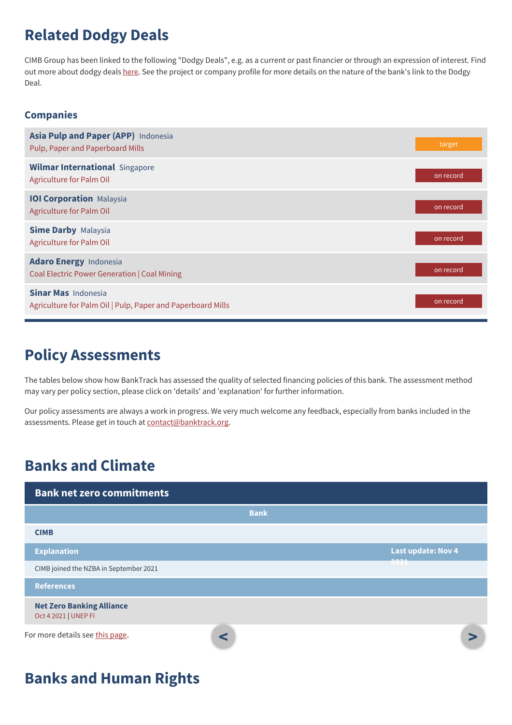# **Related Dodgy Deals**

CIMB Group has been linked to the following "Dodgy Deals", e.g. as a current or past financier or through an expression of interest. Find out more about dodgy deals [here](https://www.banktrack.org/show/page/what_are_dodgy_deals). See the project or company profile for more details on the nature of the bank's link to the Dodgy Deal.

### **Companies**

| Asia Pulp and Paper (APP) Indonesia<br>Pulp, Paper and Paperboard Mills                   | target    |
|-------------------------------------------------------------------------------------------|-----------|
| <b>Wilmar International Singapore</b><br>Agriculture for Palm Oil                         | on record |
| <b>IOI Corporation Malaysia</b><br>Agriculture for Palm Oil                               | on record |
| <b>Sime Darby Malaysia</b><br>Agriculture for Palm Oil                                    | on record |
| <b>Adaro Energy Indonesia</b><br>Coal Electric Power Generation   Coal Mining             | on record |
| <b>Sinar Mas</b> Indonesia<br>Agriculture for Palm Oil   Pulp, Paper and Paperboard Mills | on record |

### **Policy Assessments**

The tables below show how BankTrack has assessed the quality of selected financing policies of this bank. The assessment method may vary per policy section, please click on 'details' and 'explanation' for further information.

Our policy assessments are always a work in progress. We very much welcome any feedback, especially from banks included in the assessments. Please get in touch at [contact@banktrack.org](mailto:climate@banktrack.org).

## **Banks and Climate**

| <b>Bank net zero commitments</b>                         |             |                           |  |
|----------------------------------------------------------|-------------|---------------------------|--|
|                                                          | <b>Bank</b> |                           |  |
| <b>CIMB</b>                                              |             |                           |  |
| <b>Explanation</b>                                       |             | <b>Last update: Nov 4</b> |  |
| CIMB joined the NZBA in September 2021                   |             |                           |  |
| <b>References</b>                                        |             |                           |  |
| <b>Net Zero Banking Alliance</b><br>Oct 4 2021   UNEP FI |             |                           |  |
| For more details see this page.                          | $\epsilon$  |                           |  |

## **Banks and Human Rights**